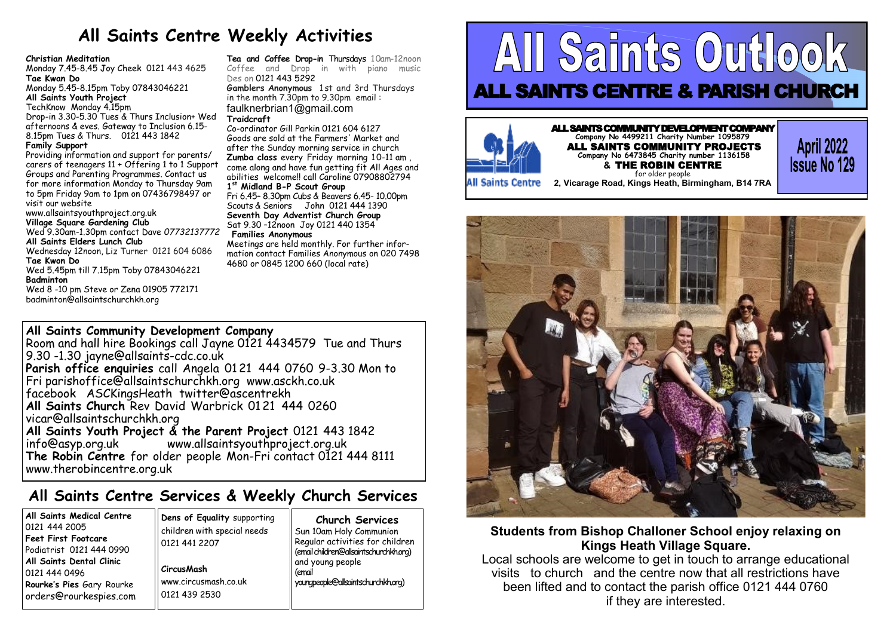# **All Saints Centre Weekly Activities**

### **Christian Meditation**

Monday 7.45-8.45 Joy Cheek 0121 443 4625 **Tae Kwan Do** Monday 5.45-8.15pm Toby 07843046221 **All Saints Youth Project**  TechKnow Monday 4.15pm Drop-in 3.30-5.30 Tues & Thurs Inclusion+ Wed afternoons & eves. Gateway to Inclusion 6.15- 8.15pm Tues & Thurs. 0121 443 1842 **Family Support** Providing information and support for parents/ carers of teenagers 11 + Offering 1 to 1 Support Groups and Parenting Programmes. Contact us for more information Monday to Thursday 9am to 5pm Friday 9am to 1pm on 07436798497 or

visit our website

### www.allsaintsyouthproject.org.uk **Village Square Gardening Club**

Wed 9.30am-1.30pm contact Dave *07732137772*

**All Saints Elders Lunch Club** 

Wednesday 12noon, Liz Turner 0121 604 6086 **Tae Kwon Do** 

Wed 5.45pm till 7.15pm Toby 07843046221 **Badminton** 

Wed 8 -10 pm Steve or Zena 01905 772171 [badminton@allsaintschurchkh.org](mailto:badminton@allsaintschurchkh.org)

**Tea and Coffee Drop-in** Thursdays 10am-12noon Coffee and Drop in with piano music Des on [0121 443 5292](tel:0121%20443%205292) 

**Gamblers Anonymous** 1 st and 3rd Thursdays in the month 7.30pm to 9.30pm email : [faulknerbrian1@gmail.com](mailto:faulknerbrian1@gmail.com) **Traidcraft**

Co-ordinator Gill Parkin 0121 604 6127 Goods are sold at the Farmers' Market and after the Sunday morning service in church **Zumba class** every Friday morning 10-11 am , come along and have fun getting fit All Ages and abilities welcome!! call Caroline 07908802794 **1 st Midland B-P Scout Group** 

### Fri 6.45– 8.30pm Cubs & Beavers 6.45- 10.00pm Scouts & Seniors John 0121 444 1390 **Seventh Day Adventist Church Group** Sat 9.30 –12noon Joy 0121 440 1354

### **Families Anonymous**

Meetings are held monthly. For further information contact Families Anonymous on 020 7498 4680 or 0845 1200 660 (local rate)

### **All Saints Community Development Company**

Room and hall hire Bookings call Jayne 0121 4434579 Tue and Thurs 9.30 -1.30 [jayne@allsaints](mailto:jayne@allsaints-cdc.co.uk)-cdc.co.uk **Parish office enquiries** call Angela 01 21 444 0760 9-3.30 Mon to Fri [parishoffice@allsaintschurchkh.org](mailto:parishoffice@allsiantschurchkh.org) [www.asckh.co.uk](http://www.asckh.co.uk/) facebook ASCKingsHeath twitter@ascentrekh **All Saints Church** Rev David Warbrick 01 21 444 0260 [vicar@allsaintschurchkh.org](mailto:vicar@allsaintschurchkh.org) **All Saints Youth Project & the Parent Project** 0121 443 1842 [www.allsaintsyouthproject.org.uk](http://www.allsaintsyouthproject.org.uk/) **The Robin Centre** for older people Mon-Fri contact 0121 444 8111 www.therobincentre.org.uk

## **All Saints Centre Services & Weekly Church Services**

| All Saints Medical Centre  |
|----------------------------|
| 0121 444 2005              |
| <b>Feet First Footcare</b> |
| Podiatrist 0121 444 0990   |
| All Saints Dental Clinic   |
| 0121 444 0496              |
| Rourke's Pies Gary Rourke  |
| orders@rourkespies.com     |

**Dens of Equality** supporting children with special needs 0121 441 2207 **CircusMash** [www.circusmash.co.uk](http://www.circusmash.co.uk/)

0121 439 2530

**Church Services** Sun 10am Holy Communion Regular activities for children (email children@allsaintschurchkh.org) and young people (email youngpeople@allsaintschurchkh.org)

# All Saints Outlook ALL SAINTS CENTRE & PARISH CHURCH



ALL SAINTS COMMUNITY DEVELOPMENT COMPANY **Company No 4499211 Charity Number 1095879** ALL SAINTS COMMUNITY PROJECTS **Company No 6473845 Charity number 1136158 &** THE ROBIN CENTRE for older people **2, Vicarage Road, Kings Heath, Birmingham, B14 7RA**

**April 2022**<br>**Issue No 129** 

**All Saints Centre** 



### **Students from Bishop Challoner School enjoy relaxing on Kings Heath Village Square.**

Local schools are welcome to get in touch to arrange educational visits to church and the centre now that all restrictions have been lifted and to contact the parish office 0121 444 0760 if they are interested.